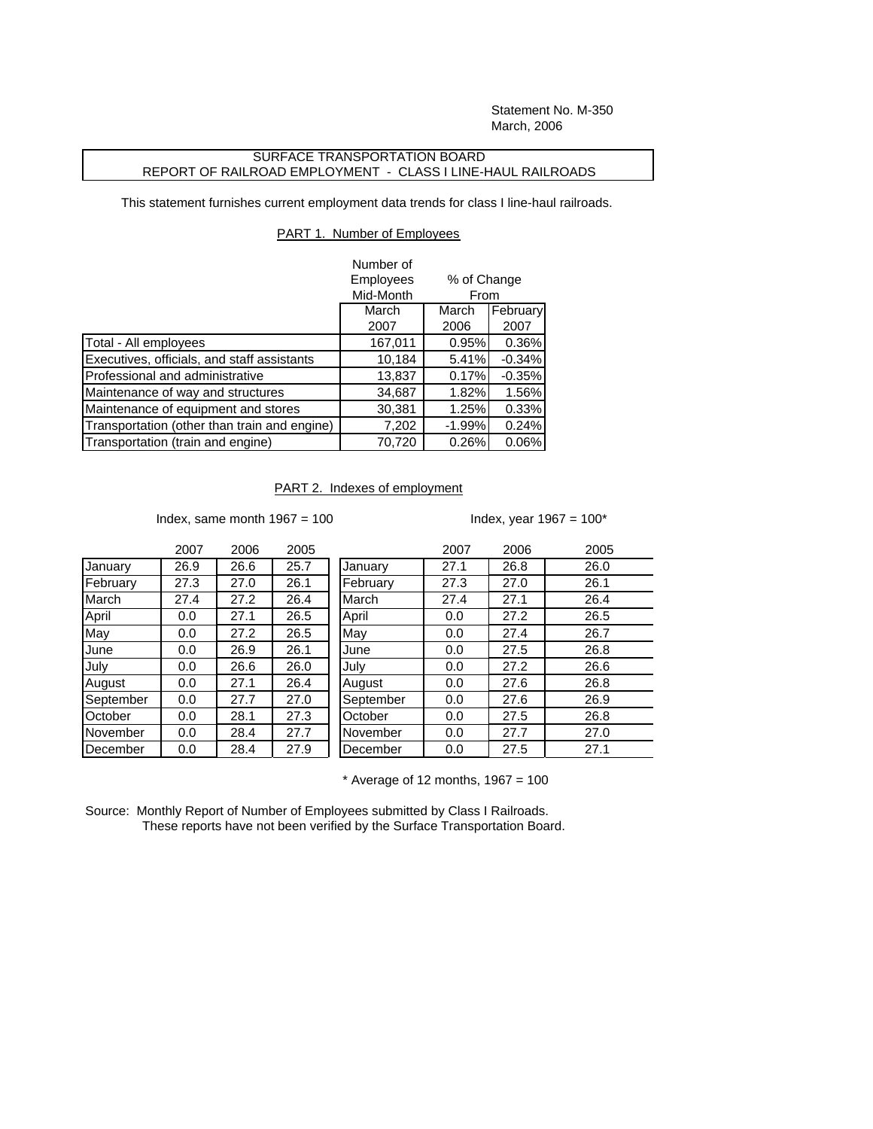Statement No. M-350 March, 2006

## SURFACE TRANSPORTATION BOARD REPORT OF RAILROAD EMPLOYMENT - CLASS I LINE-HAUL RAILROADS

This statement furnishes current employment data trends for class I line-haul railroads.

## PART 1. Number of Employees

|                                              | Number of |                     |          |
|----------------------------------------------|-----------|---------------------|----------|
|                                              | Employees | % of Change<br>From |          |
|                                              | Mid-Month |                     |          |
|                                              | March     | March               | February |
|                                              | 2007      | 2006                | 2007     |
| Total - All employees                        | 167,011   | 0.95%               | 0.36%    |
| Executives, officials, and staff assistants  | 10,184    | 5.41%               | $-0.34%$ |
| Professional and administrative              | 13,837    | 0.17%               | $-0.35%$ |
| Maintenance of way and structures            | 34,687    | 1.82%               | 1.56%    |
| Maintenance of equipment and stores          | 30,381    | 1.25%               | 0.33%    |
| Transportation (other than train and engine) | 7,202     | $-1.99%$            | 0.24%    |
| Transportation (train and engine)            | 70,720    | 0.26%               | 0.06%    |

## PART 2. Indexes of employment

Index, same month  $1967 = 100$  Index, year  $1967 = 100^*$ 

|           | 2007 | 2006 | 2005 |           | 2007 | 2006 | 2005 |
|-----------|------|------|------|-----------|------|------|------|
| January   | 26.9 | 26.6 | 25.7 | January   | 27.1 | 26.8 | 26.0 |
| February  | 27.3 | 27.0 | 26.1 | February  | 27.3 | 27.0 | 26.1 |
| March     | 27.4 | 27.2 | 26.4 | March     | 27.4 | 27.1 | 26.4 |
| April     | 0.0  | 27.1 | 26.5 | April     | 0.0  | 27.2 | 26.5 |
| May       | 0.0  | 27.2 | 26.5 | May       | 0.0  | 27.4 | 26.7 |
| June      | 0.0  | 26.9 | 26.1 | June      | 0.0  | 27.5 | 26.8 |
| Julv      | 0.0  | 26.6 | 26.0 | July      | 0.0  | 27.2 | 26.6 |
| August    | 0.0  | 27.1 | 26.4 | August    | 0.0  | 27.6 | 26.8 |
| September | 0.0  | 27.7 | 27.0 | September | 0.0  | 27.6 | 26.9 |
| October   | 0.0  | 28.1 | 27.3 | October   | 0.0  | 27.5 | 26.8 |
| November  | 0.0  | 28.4 | 27.7 | November  | 0.0  | 27.7 | 27.0 |
| December  | 0.0  | 28.4 | 27.9 | December  | 0.0  | 27.5 | 27.1 |
|           |      |      |      |           |      |      |      |

 $*$  Average of 12 months, 1967 = 100

Source: Monthly Report of Number of Employees submitted by Class I Railroads. These reports have not been verified by the Surface Transportation Board.